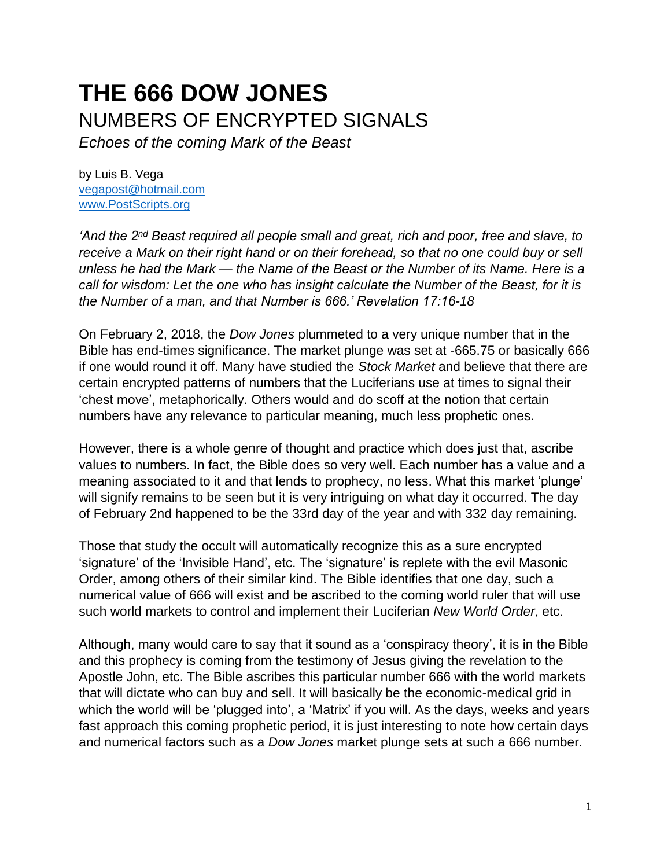## **THE 666 DOW JONES**  NUMBERS OF ENCRYPTED SIGNALS

*Echoes of the coming Mark of the Beast*

by Luis B. Vega [vegapost@hotmail.com](mailto:vegapost@hotmail.com) [www.PostScripts.org](http://www.postscripts.org/)

*'And the 2nd Beast required all people small and great, rich and poor, free and slave, to receive a Mark on their right hand or on their forehead, so that no one could buy or sell unless he had the Mark — the Name of the Beast or the Number of its Name. Here is a call for wisdom: Let the one who has insight calculate the Number of the Beast, for it is the Number of a man, and that Number is 666.' Revelation 17:16-18*

On February 2, 2018, the *Dow Jones* plummeted to a very unique number that in the Bible has end-times significance. The market plunge was set at -665.75 or basically 666 if one would round it off. Many have studied the *Stock Market* and believe that there are certain encrypted patterns of numbers that the Luciferians use at times to signal their 'chest move', metaphorically. Others would and do scoff at the notion that certain numbers have any relevance to particular meaning, much less prophetic ones.

However, there is a whole genre of thought and practice which does just that, ascribe values to numbers. In fact, the Bible does so very well. Each number has a value and a meaning associated to it and that lends to prophecy, no less. What this market 'plunge' will signify remains to be seen but it is very intriguing on what day it occurred. The day of February 2nd happened to be the 33rd day of the year and with 332 day remaining.

Those that study the occult will automatically recognize this as a sure encrypted 'signature' of the 'Invisible Hand', etc. The 'signature' is replete with the evil Masonic Order, among others of their similar kind. The Bible identifies that one day, such a numerical value of 666 will exist and be ascribed to the coming world ruler that will use such world markets to control and implement their Luciferian *New World Order*, etc.

Although, many would care to say that it sound as a 'conspiracy theory', it is in the Bible and this prophecy is coming from the testimony of Jesus giving the revelation to the Apostle John, etc. The Bible ascribes this particular number 666 with the world markets that will dictate who can buy and sell. It will basically be the economic-medical grid in which the world will be 'plugged into', a 'Matrix' if you will. As the days, weeks and years fast approach this coming prophetic period, it is just interesting to note how certain days and numerical factors such as a *Dow Jones* market plunge sets at such a 666 number.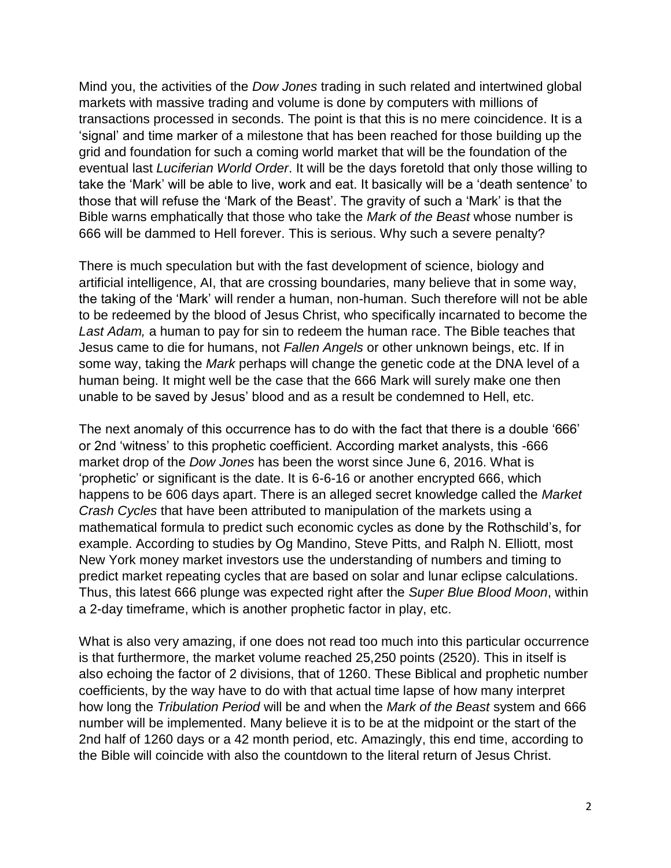Mind you, the activities of the *Dow Jones* trading in such related and intertwined global markets with massive trading and volume is done by computers with millions of transactions processed in seconds. The point is that this is no mere coincidence. It is a 'signal' and time marker of a milestone that has been reached for those building up the grid and foundation for such a coming world market that will be the foundation of the eventual last *Luciferian World Order*. It will be the days foretold that only those willing to take the 'Mark' will be able to live, work and eat. It basically will be a 'death sentence' to those that will refuse the 'Mark of the Beast'. The gravity of such a 'Mark' is that the Bible warns emphatically that those who take the *Mark of the Beast* whose number is 666 will be dammed to Hell forever. This is serious. Why such a severe penalty?

There is much speculation but with the fast development of science, biology and artificial intelligence, AI, that are crossing boundaries, many believe that in some way, the taking of the 'Mark' will render a human, non-human. Such therefore will not be able to be redeemed by the blood of Jesus Christ, who specifically incarnated to become the *Last Adam,* a human to pay for sin to redeem the human race. The Bible teaches that Jesus came to die for humans, not *Fallen Angels* or other unknown beings, etc. If in some way, taking the *Mark* perhaps will change the genetic code at the DNA level of a human being. It might well be the case that the 666 Mark will surely make one then unable to be saved by Jesus' blood and as a result be condemned to Hell, etc.

The next anomaly of this occurrence has to do with the fact that there is a double '666' or 2nd 'witness' to this prophetic coefficient. According market analysts, this -666 market drop of the *Dow Jones* has been the worst since June 6, 2016. What is 'prophetic' or significant is the date. It is 6-6-16 or another encrypted 666, which happens to be 606 days apart. There is an alleged secret knowledge called the *Market Crash Cycles* that have been attributed to manipulation of the markets using a mathematical formula to predict such economic cycles as done by the Rothschild's, for example. According to studies by Og Mandino, Steve Pitts, and Ralph N. Elliott, most New York money market investors use the understanding of numbers and timing to predict market repeating cycles that are based on solar and lunar eclipse calculations. Thus, this latest 666 plunge was expected right after the *Super Blue Blood Moon*, within a 2-day timeframe, which is another prophetic factor in play, etc.

What is also very amazing, if one does not read too much into this particular occurrence is that furthermore, the market volume reached 25,250 points (2520). This in itself is also echoing the factor of 2 divisions, that of 1260. These Biblical and prophetic number coefficients, by the way have to do with that actual time lapse of how many interpret how long the *Tribulation Period* will be and when the *Mark of the Beast* system and 666 number will be implemented. Many believe it is to be at the midpoint or the start of the 2nd half of 1260 days or a 42 month period, etc. Amazingly, this end time, according to the Bible will coincide with also the countdown to the literal return of Jesus Christ.